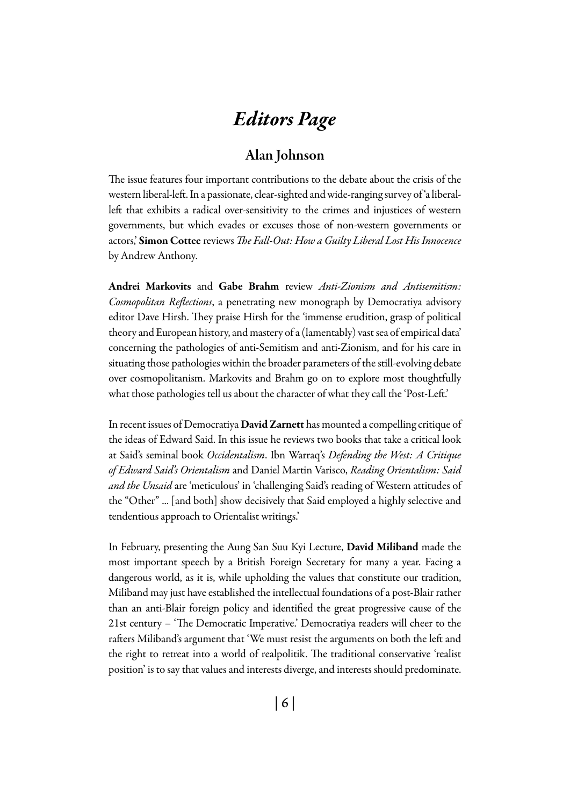# *Editors Page*

# Alan Johnson

The issue features four important contributions to the debate about the crisis of the western liberal-left. In a passionate, clear-sighted and wide-ranging survey of 'a liberalleft that exhibits a radical over-sensitivity to the crimes and injustices of western governments, but which evades or excuses those of non-western governments or actors,' Simon Cottee reviews *The Fall-Out: How a Guilty Liberal Lost His Innocence*  by Andrew Anthony*.*

Andrei Markovits and Gabe Brahm review *Anti-Zionism and Antisemitism: Cosmopolitan Reflections*, a penetrating new monograph by Democratiya advisory editor Dave Hirsh. They praise Hirsh for the 'immense erudition, grasp of political theory and European history, and mastery of a (lamentably) vast sea of empirical data' concerning the pathologies of anti-Semitism and anti-Zionism, and for his care in situating those pathologies within the broader parameters of the still-evolving debate over cosmopolitanism. Markovits and Brahm go on to explore most thoughtfully what those pathologies tell us about the character of what they call the 'Post-Left.'

In recent issues of Democratiya David Zarnett has mounted a compelling critique of the ideas of Edward Said. In this issue he reviews two books that take a critical look at Said's seminal book *Occidentalism*. Ibn Warraq's *Defending the West: A Critique of Edward Said's Orientalism* and Daniel Martin Varisco, *Reading Orientalism: Said and the Unsaid* are 'meticulous' in 'challenging Said's reading of Western attitudes of the "Other" ... [and both] show decisively that Said employed a highly selective and tendentious approach to Orientalist writings.'

In February, presenting the Aung San Suu Kyi Lecture, David Miliband made the most important speech by a British Foreign Secretary for many a year. Facing a dangerous world, as it is, while upholding the values that constitute our tradition, Miliband may just have established the intellectual foundations of a post-Blair rather than an anti-Blair foreign policy and identified the great progressive cause of the 21st century – 'The Democratic Imperative.' Democratiya readers will cheer to the rafters Miliband's argument that 'We must resist the arguments on both the left and the right to retreat into a world of realpolitik. The traditional conservative 'realist position' is to say that values and interests diverge, and interests should predominate.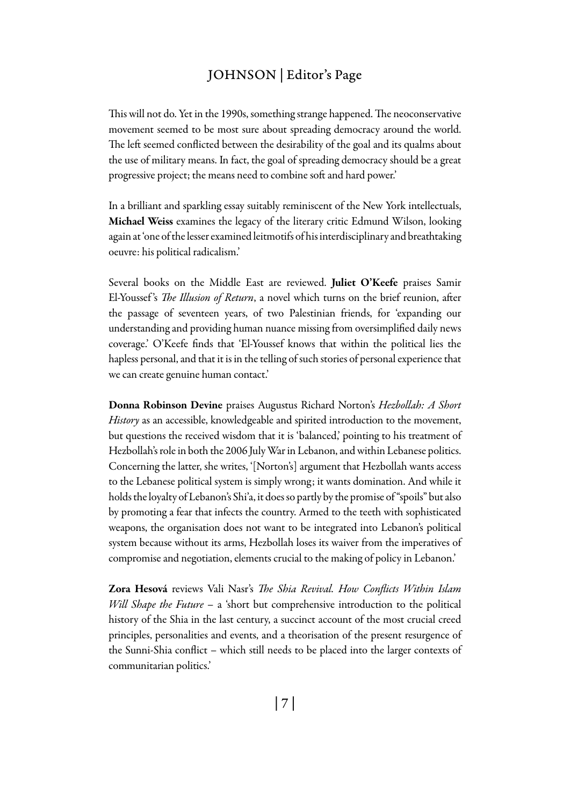## JOHNSON | Editor's Page

This will not do. Yet in the 1990s, something strange happened. The neoconservative movement seemed to be most sure about spreading democracy around the world. The left seemed conflicted between the desirability of the goal and its qualms about the use of military means. In fact, the goal of spreading democracy should be a great progressive project; the means need to combine soft and hard power.'

In a brilliant and sparkling essay suitably reminiscent of the New York intellectuals, Michael Weiss examines the legacy of the literary critic Edmund Wilson, looking again at 'one of the lesser examined leitmotifs of his interdisciplinary and breathtaking oeuvre: his political radicalism.'

Several books on the Middle East are reviewed. Juliet O'Keefe praises Samir El-Youssef 's *The Illusion of Return*, a novel which turns on the brief reunion, after the passage of seventeen years, of two Palestinian friends, for 'expanding our understanding and providing human nuance missing from oversimplified daily news coverage.' O'Keefe finds that 'El-Youssef knows that within the political lies the hapless personal, and that it is in the telling of such stories of personal experience that we can create genuine human contact.'

Donna Robinson Devine praises Augustus Richard Norton's *Hezbollah: A Short History* as an accessible, knowledgeable and spirited introduction to the movement, but questions the received wisdom that it is 'balanced,' pointing to his treatment of Hezbollah's role in both the 2006 July War in Lebanon, and within Lebanese politics. Concerning the latter, she writes, '[Norton's] argument that Hezbollah wants access to the Lebanese political system is simply wrong; it wants domination. And while it holds the loyalty of Lebanon's Shi'a, it does so partly by the promise of "spoils" but also by promoting a fear that infects the country. Armed to the teeth with sophisticated weapons, the organisation does not want to be integrated into Lebanon's political system because without its arms, Hezbollah loses its waiver from the imperatives of compromise and negotiation, elements crucial to the making of policy in Lebanon.'

Zora Hesová reviews Vali Nasr's *The Shia Revival. How Conflicts Within Islam Will Shape the Future* – a 'short but comprehensive introduction to the political history of the Shia in the last century, a succinct account of the most crucial creed principles, personalities and events, and a theorisation of the present resurgence of the Sunni-Shia conflict – which still needs to be placed into the larger contexts of communitarian politics.'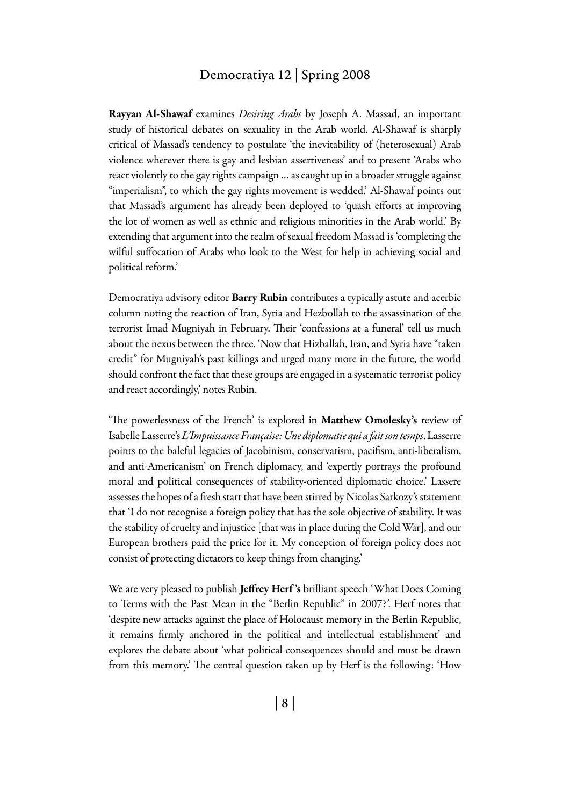#### Democratiya 12 | Spring 2008

Rayyan Al-Shawaf examines *Desiring Arabs* by Joseph A. Massad, an important study of historical debates on sexuality in the Arab world. Al-Shawaf is sharply critical of Massad's tendency to postulate 'the inevitability of (heterosexual) Arab violence wherever there is gay and lesbian assertiveness' and to present 'Arabs who react violently to the gay rights campaign … as caught up in a broader struggle against "imperialism", to which the gay rights movement is wedded.' Al-Shawaf points out that Massad's argument has already been deployed to 'quash efforts at improving the lot of women as well as ethnic and religious minorities in the Arab world.' By extending that argument into the realm of sexual freedom Massad is 'completing the wilful suffocation of Arabs who look to the West for help in achieving social and political reform.'

Democratiya advisory editor **Barry Rubin** contributes a typically astute and acerbic column noting the reaction of Iran, Syria and Hezbollah to the assassination of the terrorist Imad Mugniyah in February. Their 'confessions at a funeral' tell us much about the nexus between the three. 'Now that Hizballah, Iran, and Syria have "taken credit" for Mugniyah's past killings and urged many more in the future, the world should confront the fact that these groups are engaged in a systematic terrorist policy and react accordingly,' notes Rubin.

'The powerlessness of the French' is explored in Matthew Omolesky's review of Isabelle Lasserre's *L'Impuissance Française: Une diplomatie qui a fait son temps*. Lasserre points to the baleful legacies of Jacobinism, conservatism, pacifism, anti-liberalism, and anti-Americanism' on French diplomacy, and 'expertly portrays the profound moral and political consequences of stability-oriented diplomatic choice.' Lassere assesses the hopes of a fresh start that have been stirred by Nicolas Sarkozy's statement that 'I do not recognise a foreign policy that has the sole objective of stability. It was the stability of cruelty and injustice [that was in place during the Cold War], and our European brothers paid the price for it. My conception of foreign policy does not consist of protecting dictators to keep things from changing.'

We are very pleased to publish Jeffrey Herf's brilliant speech 'What Does Coming to Terms with the Past Mean in the "Berlin Republic" in 2007?*'*. Herf notes that 'despite new attacks against the place of Holocaust memory in the Berlin Republic, it remains firmly anchored in the political and intellectual establishment' and explores the debate about 'what political consequences should and must be drawn from this memory.' The central question taken up by Herf is the following: 'How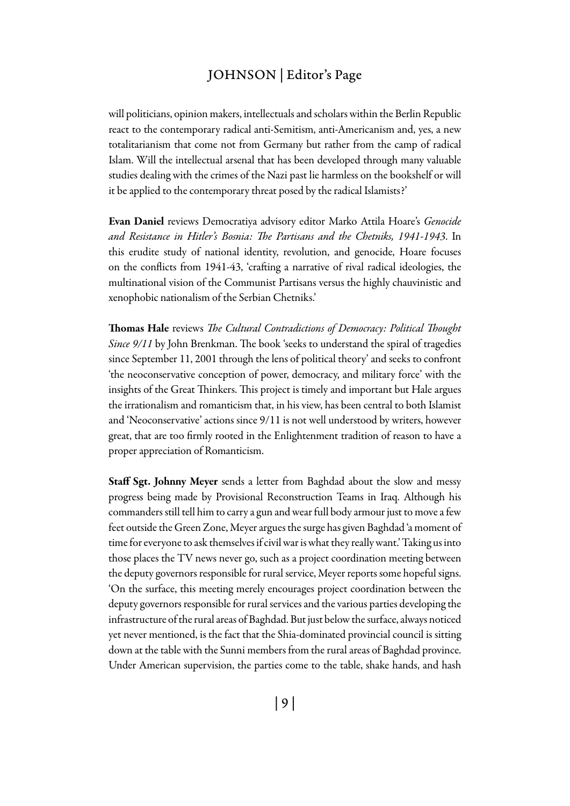### Johnson | Editor's Page

will politicians, opinion makers, intellectuals and scholars within the Berlin Republic react to the contemporary radical anti-Semitism, anti-Americanism and, yes, a new totalitarianism that come not from Germany but rather from the camp of radical Islam. Will the intellectual arsenal that has been developed through many valuable studies dealing with the crimes of the Nazi past lie harmless on the bookshelf or will it be applied to the contemporary threat posed by the radical Islamists?'

Evan Daniel reviews Democratiya advisory editor Marko Attila Hoare's *Genocide and Resistance in Hitler's Bosnia: The Partisans and the Chetniks, 1941-1943*. In this erudite study of national identity, revolution, and genocide, Hoare focuses on the conflicts from 1941-43, 'crafting a narrative of rival radical ideologies, the multinational vision of the Communist Partisans versus the highly chauvinistic and xenophobic nationalism of the Serbian Chetniks.'

Thomas Hale reviews *The Cultural Contradictions of Democracy: Political Thought Since 9/11* by John Brenkman. The book 'seeks to understand the spiral of tragedies since September 11, 2001 through the lens of political theory' and seeks to confront 'the neoconservative conception of power, democracy, and military force' with the insights of the Great Thinkers. This project is timely and important but Hale argues the irrationalism and romanticism that, in his view, has been central to both Islamist and 'Neoconservative' actions since 9/11 is not well understood by writers, however great, that are too firmly rooted in the Enlightenment tradition of reason to have a proper appreciation of Romanticism.

Staff Sgt. Johnny Meyer sends a letter from Baghdad about the slow and messy progress being made by Provisional Reconstruction Teams in Iraq. Although his commanders still tell him to carry a gun and wear full body armour just to move a few feet outside the Green Zone, Meyer argues the surge has given Baghdad 'a moment of time for everyone to ask themselves if civil war is what they really want.' Taking us into those places the TV news never go, such as a project coordination meeting between the deputy governors responsible for rural service, Meyer reports some hopeful signs. 'On the surface, this meeting merely encourages project coordination between the deputy governors responsible for rural services and the various parties developing the infrastructure of the rural areas of Baghdad. But just below the surface, always noticed yet never mentioned, is the fact that the Shia-dominated provincial council is sitting down at the table with the Sunni members from the rural areas of Baghdad province. Under American supervision, the parties come to the table, shake hands, and hash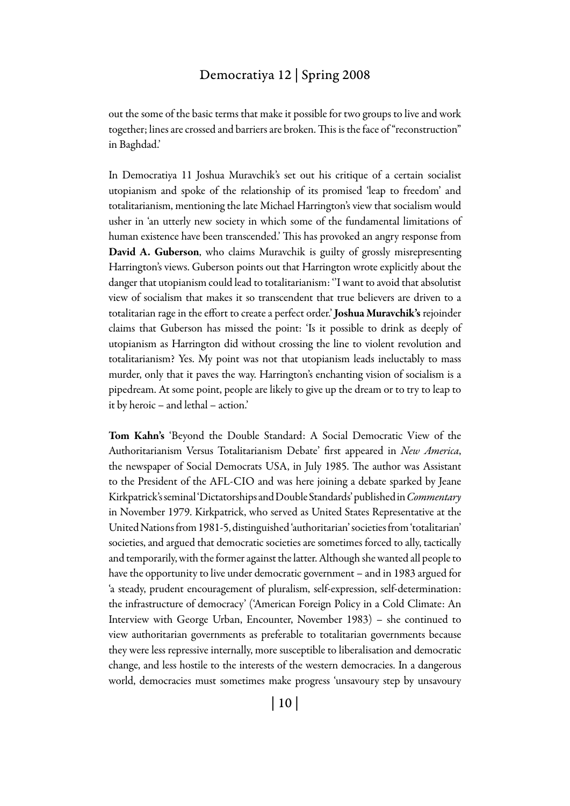## Democratiya 12 | Spring 2008

out the some of the basic terms that make it possible for two groups to live and work together; lines are crossed and barriers are broken. This is the face of "reconstruction" in Baghdad.'

In Democratiya 11 Joshua Muravchik's set out his critique of a certain socialist utopianism and spoke of the relationship of its promised 'leap to freedom' and totalitarianism, mentioning the late Michael Harrington's view that socialism would usher in 'an utterly new society in which some of the fundamental limitations of human existence have been transcended.' This has provoked an angry response from David A. Guberson, who claims Muravchik is guilty of grossly misrepresenting Harrington's views. Guberson points out that Harrington wrote explicitly about the danger that utopianism could lead to totalitarianism: ''I want to avoid that absolutist view of socialism that makes it so transcendent that true believers are driven to a totalitarian rage in the effort to create a perfect order.' Joshua Muravchik's rejoinder claims that Guberson has missed the point: 'Is it possible to drink as deeply of utopianism as Harrington did without crossing the line to violent revolution and totalitarianism? Yes. My point was not that utopianism leads ineluctably to mass murder, only that it paves the way. Harrington's enchanting vision of socialism is a pipedream. At some point, people are likely to give up the dream or to try to leap to it by heroic – and lethal – action.'

Tom Kahn's 'Beyond the Double Standard: A Social Democratic View of the Authoritarianism Versus Totalitarianism Debate' first appeared in *New America*, the newspaper of Social Democrats USA, in July 1985. The author was Assistant to the President of the AFL-CIO and was here joining a debate sparked by Jeane Kirkpatrick's seminal 'Dictatorships and Double Standards' published in *Commentary* in November 1979. Kirkpatrick, who served as United States Representative at the United Nations from 1981-5, distinguished 'authoritarian' societies from 'totalitarian' societies, and argued that democratic societies are sometimes forced to ally, tactically and temporarily, with the former against the latter. Although she wanted all people to have the opportunity to live under democratic government – and in 1983 argued for 'a steady, prudent encouragement of pluralism, self-expression, self-determination: the infrastructure of democracy' ('American Foreign Policy in a Cold Climate: An Interview with George Urban, Encounter, November 1983) – she continued to view authoritarian governments as preferable to totalitarian governments because they were less repressive internally, more susceptible to liberalisation and democratic change, and less hostile to the interests of the western democracies. In a dangerous world, democracies must sometimes make progress 'unsavoury step by unsavoury